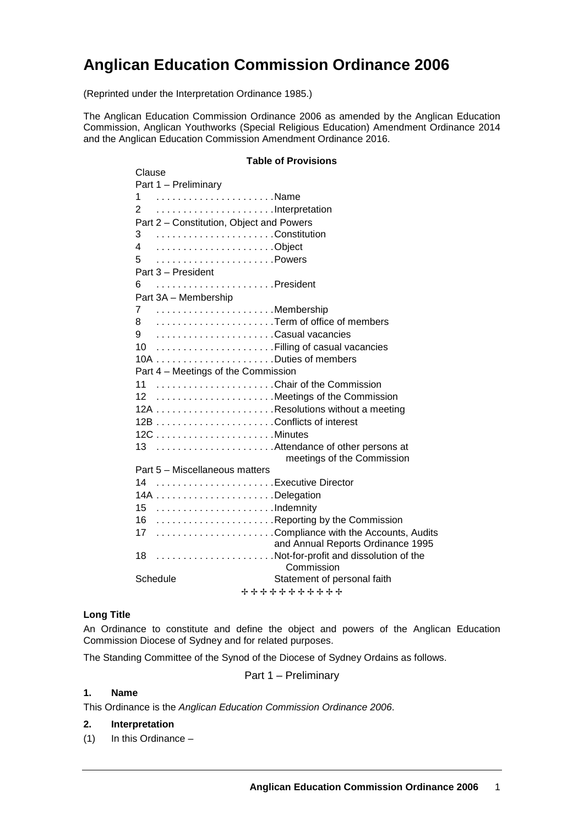# **Anglican Education Commission Ordinance 2006**

(Reprinted under the Interpretation Ordinance 1985.)

The Anglican Education Commission Ordinance 2006 as amended by the Anglican Education Commission, Anglican Youthworks (Special Religious Education) Amendment Ordinance 2014 and the Anglican Education Commission Amendment Ordinance 2016.

# **Table of Provisions** Clause Part 1 – Preliminary 1 . . . . . . . . . . . . . . . . . . . . . .Name 2 . . . . . . . . . . . . . . . . . . . . . .Interpretation Part 2 – Constitution, Object and Powers 3 . . . . . . . . . . . . . . . . . . . . . .Constitution 4 . . . . . . . . . . . . . . . . . . . . . .Object 5 . . . . . . . . . . . . . . . . . . . . . .Powers Part 3 – President 6 . . . . . . . . . . . . . . . . . . . . . .President Part 3A – Membership 7 . . . . . . . . . . . . . . . . . . . . . .Membership 8 . . . . . . . . . . . . . . . . . . . . . .Term of office of members 9 . . . . . . . . . . . . . . . . . . . . . .Casual vacancies 10 . . . . . . . . . . . . . . . . . . . . . .Filling of casual vacancies 10A . . . . . . . . . . . . . . . . . . . . . .Duties of members Part 4 – Meetings of the Commission 11 . . . . . . . . . . . . . . . . . . . . . .Chair of the Commission 12 . . . . . . . . . . . . . . . . . . . . . .Meetings of the Commission 12A . . . . . . . . . . . . . . . . . . . . . .Resolutions without a meeting 12B . . . . . . . . . . . . . . . . . . . . . .Conflicts of interest 12C . . . . . . . . . . . . . . . . . . . . . .Minutes 13 . . . . . . . . . . . . . . . . . . . . . .Attendance of other persons at meetings of the Commission Part 5 – Miscellaneous matters 14 . . . . . . . . . . . . . . . . . . . . . .Executive Director 14A . . . . . . . . . . . . . . . . . . . . . .Delegation 15 . . . . . . . . . . . . . . . . . . . . . .Indemnity 16 . . . . . . . . . . . . . . . . . . . . . .Reporting by the Commission 17 . . . . . . . . . . . . . . . . . . . . . .Compliance with the Accounts, Audits and Annual Reports Ordinance 1995 18 . . . . . . . . . . . . . . . . . . . . . .Not-for-profit and dissolution of the Commission Schedule Schedule Statement of personal faith + + + + + + + + + + +

#### **Long Title**

An Ordinance to constitute and define the object and powers of the Anglican Education Commission Diocese of Sydney and for related purposes.

The Standing Committee of the Synod of the Diocese of Sydney Ordains as follows.

Part 1 – Preliminary

#### **1. Name**

This Ordinance is the *Anglican Education Commission Ordinance 2006*.

#### **2. Interpretation**

(1) In this Ordinance –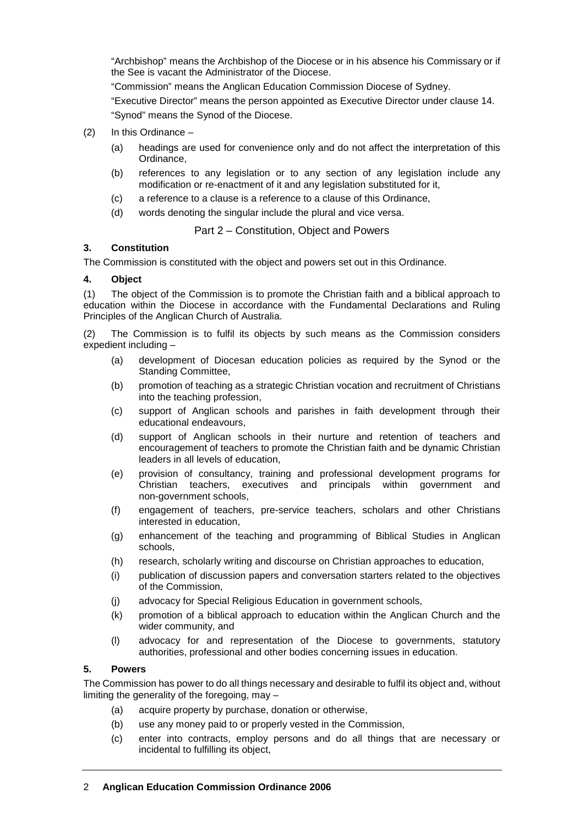"Archbishop" means the Archbishop of the Diocese or in his absence his Commissary or if the See is vacant the Administrator of the Diocese.

"Commission" means the Anglican Education Commission Diocese of Sydney.

"Executive Director" means the person appointed as Executive Director under clause 14. "Synod" means the Synod of the Diocese.

- (2) In this Ordinance
	- (a) headings are used for convenience only and do not affect the interpretation of this Ordinance,
	- (b) references to any legislation or to any section of any legislation include any modification or re-enactment of it and any legislation substituted for it.
	- (c) a reference to a clause is a reference to a clause of this Ordinance,
	- (d) words denoting the singular include the plural and vice versa.

#### Part 2 – Constitution, Object and Powers

#### **3. Constitution**

The Commission is constituted with the object and powers set out in this Ordinance.

#### **4. Object**

(1) The object of the Commission is to promote the Christian faith and a biblical approach to education within the Diocese in accordance with the Fundamental Declarations and Ruling Principles of the Anglican Church of Australia.

(2) The Commission is to fulfil its objects by such means as the Commission considers expedient including –

- (a) development of Diocesan education policies as required by the Synod or the Standing Committee,
- (b) promotion of teaching as a strategic Christian vocation and recruitment of Christians into the teaching profession,
- (c) support of Anglican schools and parishes in faith development through their educational endeavours,
- (d) support of Anglican schools in their nurture and retention of teachers and encouragement of teachers to promote the Christian faith and be dynamic Christian leaders in all levels of education,
- (e) provision of consultancy, training and professional development programs for Christian teachers, executives and principals within government and non-government schools,
- (f) engagement of teachers, pre-service teachers, scholars and other Christians interested in education,
- (g) enhancement of the teaching and programming of Biblical Studies in Anglican schools,
- (h) research, scholarly writing and discourse on Christian approaches to education,
- (i) publication of discussion papers and conversation starters related to the objectives of the Commission,
- (j) advocacy for Special Religious Education in government schools,
- (k) promotion of a biblical approach to education within the Anglican Church and the wider community, and
- (l) advocacy for and representation of the Diocese to governments, statutory authorities, professional and other bodies concerning issues in education.

#### **5. Powers**

The Commission has power to do all things necessary and desirable to fulfil its object and, without limiting the generality of the foregoing, may –

- (a) acquire property by purchase, donation or otherwise,
- (b) use any money paid to or properly vested in the Commission,
- (c) enter into contracts, employ persons and do all things that are necessary or incidental to fulfilling its object,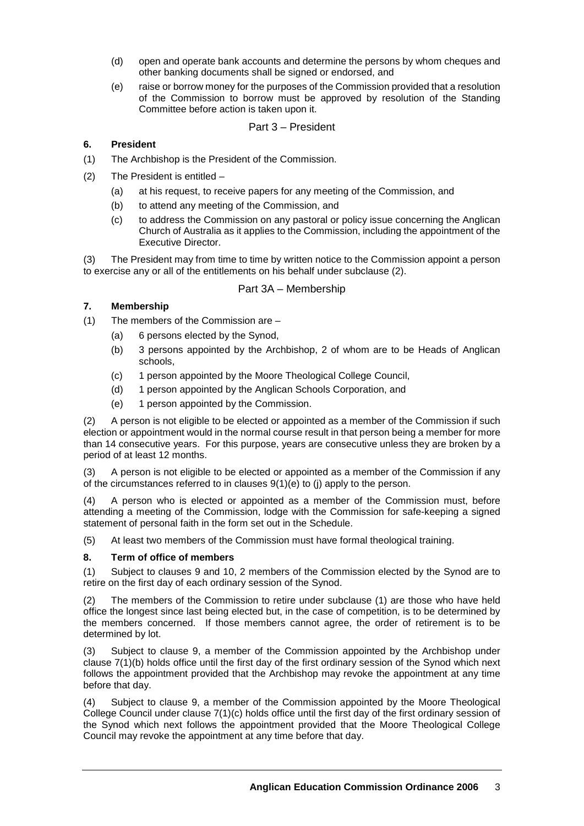- (d) open and operate bank accounts and determine the persons by whom cheques and other banking documents shall be signed or endorsed, and
- (e) raise or borrow money for the purposes of the Commission provided that a resolution of the Commission to borrow must be approved by resolution of the Standing Committee before action is taken upon it.

# Part 3 – President

# **6. President**

- (1) The Archbishop is the President of the Commission.
- (2) The President is entitled
	- (a) at his request, to receive papers for any meeting of the Commission, and
	- (b) to attend any meeting of the Commission, and
	- (c) to address the Commission on any pastoral or policy issue concerning the Anglican Church of Australia as it applies to the Commission, including the appointment of the Executive Director.

(3) The President may from time to time by written notice to the Commission appoint a person to exercise any or all of the entitlements on his behalf under subclause (2).

#### Part 3A – Membership

# **7. Membership**

- (1) The members of the Commission are
	- (a) 6 persons elected by the Synod,
	- (b) 3 persons appointed by the Archbishop, 2 of whom are to be Heads of Anglican schools,
	- (c) 1 person appointed by the Moore Theological College Council,
	- (d) 1 person appointed by the Anglican Schools Corporation, and
	- (e) 1 person appointed by the Commission.

(2) A person is not eligible to be elected or appointed as a member of the Commission if such election or appointment would in the normal course result in that person being a member for more than 14 consecutive years. For this purpose, years are consecutive unless they are broken by a period of at least 12 months.

(3) A person is not eligible to be elected or appointed as a member of the Commission if any of the circumstances referred to in clauses 9(1)(e) to (j) apply to the person.

(4) A person who is elected or appointed as a member of the Commission must, before attending a meeting of the Commission, lodge with the Commission for safe-keeping a signed statement of personal faith in the form set out in the Schedule.

(5) At least two members of the Commission must have formal theological training.

#### **8. Term of office of members**

(1) Subject to clauses 9 and 10, 2 members of the Commission elected by the Synod are to retire on the first day of each ordinary session of the Synod.

(2) The members of the Commission to retire under subclause (1) are those who have held office the longest since last being elected but, in the case of competition, is to be determined by the members concerned. If those members cannot agree, the order of retirement is to be determined by lot.

(3) Subject to clause 9, a member of the Commission appointed by the Archbishop under clause 7(1)(b) holds office until the first day of the first ordinary session of the Synod which next follows the appointment provided that the Archbishop may revoke the appointment at any time before that day.

Subject to clause 9, a member of the Commission appointed by the Moore Theological College Council under clause 7(1)(c) holds office until the first day of the first ordinary session of the Synod which next follows the appointment provided that the Moore Theological College Council may revoke the appointment at any time before that day.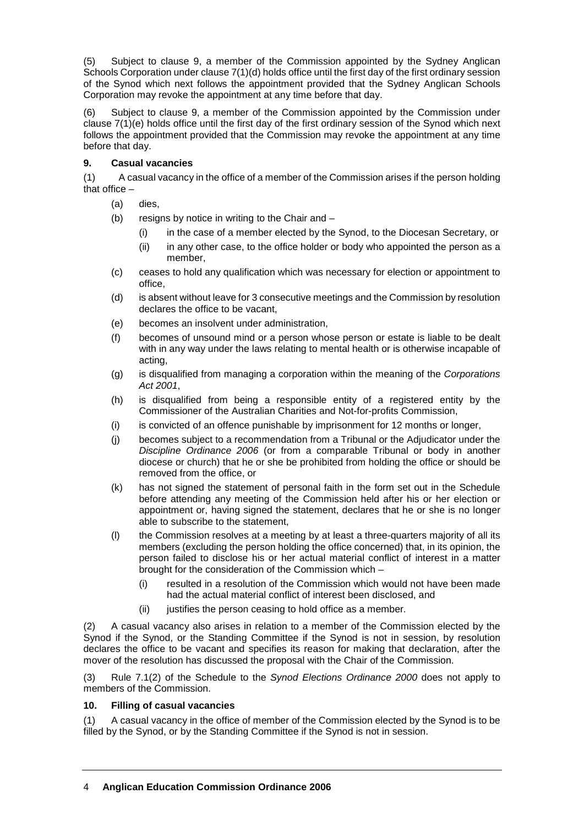(5) Subject to clause 9, a member of the Commission appointed by the Sydney Anglican Schools Corporation under clause 7(1)(d) holds office until the first day of the first ordinary session of the Synod which next follows the appointment provided that the Sydney Anglican Schools Corporation may revoke the appointment at any time before that day.

(6) Subject to clause 9, a member of the Commission appointed by the Commission under clause 7(1)(e) holds office until the first day of the first ordinary session of the Synod which next follows the appointment provided that the Commission may revoke the appointment at any time before that day.

# **9. Casual vacancies**

(1) A casual vacancy in the office of a member of the Commission arises if the person holding that office –

- (a) dies,
- (b) resigns by notice in writing to the Chair and  $-$ 
	- (i) in the case of a member elected by the Synod, to the Diocesan Secretary, or
	- (ii) in any other case, to the office holder or body who appointed the person as a member,
- (c) ceases to hold any qualification which was necessary for election or appointment to office,
- (d) is absent without leave for 3 consecutive meetings and the Commission by resolution declares the office to be vacant,
- (e) becomes an insolvent under administration,
- (f) becomes of unsound mind or a person whose person or estate is liable to be dealt with in any way under the laws relating to mental health or is otherwise incapable of acting,
- (g) is disqualified from managing a corporation within the meaning of the *Corporations Act 2001*,
- (h) is disqualified from being a responsible entity of a registered entity by the Commissioner of the Australian Charities and Not-for-profits Commission,
- (i) is convicted of an offence punishable by imprisonment for 12 months or longer,
- (j) becomes subject to a recommendation from a Tribunal or the Adjudicator under the *Discipline Ordinance 2006* (or from a comparable Tribunal or body in another diocese or church) that he or she be prohibited from holding the office or should be removed from the office, or
- (k) has not signed the statement of personal faith in the form set out in the Schedule before attending any meeting of the Commission held after his or her election or appointment or, having signed the statement, declares that he or she is no longer able to subscribe to the statement,
- (l) the Commission resolves at a meeting by at least a three-quarters majority of all its members (excluding the person holding the office concerned) that, in its opinion, the person failed to disclose his or her actual material conflict of interest in a matter brought for the consideration of the Commission which –
	- (i) resulted in a resolution of the Commission which would not have been made had the actual material conflict of interest been disclosed, and
	- (ii) justifies the person ceasing to hold office as a member.

(2) A casual vacancy also arises in relation to a member of the Commission elected by the Synod if the Synod, or the Standing Committee if the Synod is not in session, by resolution declares the office to be vacant and specifies its reason for making that declaration, after the mover of the resolution has discussed the proposal with the Chair of the Commission.

(3) Rule 7.1(2) of the Schedule to the *Synod Elections Ordinance 2000* does not apply to members of the Commission.

#### **10. Filling of casual vacancies**

(1) A casual vacancy in the office of member of the Commission elected by the Synod is to be filled by the Synod, or by the Standing Committee if the Synod is not in session.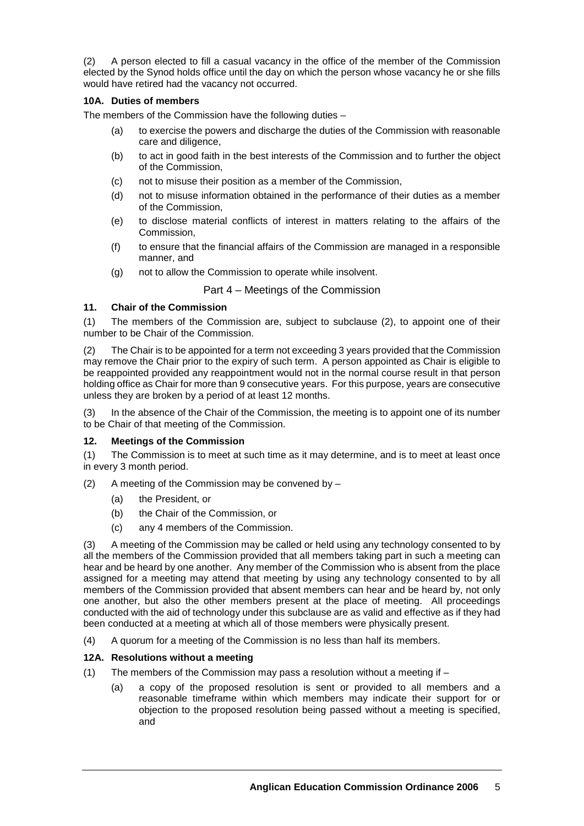(2) A person elected to fill a casual vacancy in the office of the member of the Commission elected by the Synod holds office until the day on which the person whose vacancy he or she fills would have retired had the vacancy not occurred.

# **10A. Duties of members**

The members of the Commission have the following duties –

- (a) to exercise the powers and discharge the duties of the Commission with reasonable care and diligence,
- (b) to act in good faith in the best interests of the Commission and to further the object of the Commission,
- (c) not to misuse their position as a member of the Commission,
- (d) not to misuse information obtained in the performance of their duties as a member of the Commission,
- (e) to disclose material conflicts of interest in matters relating to the affairs of the Commission,
- (f) to ensure that the financial affairs of the Commission are managed in a responsible manner, and
- (g) not to allow the Commission to operate while insolvent.

# Part 4 – Meetings of the Commission

#### **11. Chair of the Commission**

(1) The members of the Commission are, subject to subclause (2), to appoint one of their number to be Chair of the Commission.

(2) The Chair is to be appointed for a term not exceeding 3 years provided that the Commission may remove the Chair prior to the expiry of such term. A person appointed as Chair is eligible to be reappointed provided any reappointment would not in the normal course result in that person holding office as Chair for more than 9 consecutive years. For this purpose, years are consecutive unless they are broken by a period of at least 12 months.

(3) In the absence of the Chair of the Commission, the meeting is to appoint one of its number to be Chair of that meeting of the Commission.

#### **12. Meetings of the Commission**

(1) The Commission is to meet at such time as it may determine, and is to meet at least once in every 3 month period.

- (2) A meeting of the Commission may be convened by  $-$ 
	- (a) the President, or
	- (b) the Chair of the Commission, or
	- (c) any 4 members of the Commission.

(3) A meeting of the Commission may be called or held using any technology consented to by all the members of the Commission provided that all members taking part in such a meeting can hear and be heard by one another. Any member of the Commission who is absent from the place assigned for a meeting may attend that meeting by using any technology consented to by all members of the Commission provided that absent members can hear and be heard by, not only one another, but also the other members present at the place of meeting. All proceedings conducted with the aid of technology under this subclause are as valid and effective as if they had been conducted at a meeting at which all of those members were physically present.

(4) A quorum for a meeting of the Commission is no less than half its members.

#### **12A. Resolutions without a meeting**

- (1) The members of the Commission may pass a resolution without a meeting if
	- (a) a copy of the proposed resolution is sent or provided to all members and a reasonable timeframe within which members may indicate their support for or objection to the proposed resolution being passed without a meeting is specified, and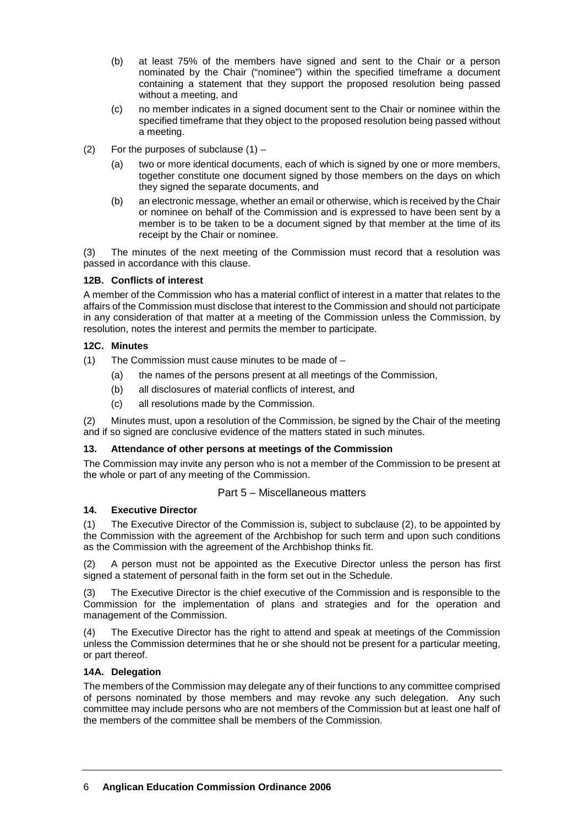- (b) at least 75% of the members have signed and sent to the Chair or a person nominated by the Chair ("nominee") within the specified timeframe a document containing a statement that they support the proposed resolution being passed without a meeting, and
- (c) no member indicates in a signed document sent to the Chair or nominee within the specified timeframe that they object to the proposed resolution being passed without a meeting.
- (2) For the purposes of subclause  $(1)$ 
	- (a) two or more identical documents, each of which is signed by one or more members, together constitute one document signed by those members on the days on which they signed the separate documents, and
	- (b) an electronic message, whether an email or otherwise, which is received by the Chair or nominee on behalf of the Commission and is expressed to have been sent by a member is to be taken to be a document signed by that member at the time of its receipt by the Chair or nominee.

(3) The minutes of the next meeting of the Commission must record that a resolution was passed in accordance with this clause.

# **12B. Conflicts of interest**

A member of the Commission who has a material conflict of interest in a matter that relates to the affairs of the Commission must disclose that interest to the Commission and should not participate in any consideration of that matter at a meeting of the Commission unless the Commission, by resolution, notes the interest and permits the member to participate.

# **12C. Minutes**

- (1) The Commission must cause minutes to be made of
	- (a) the names of the persons present at all meetings of the Commission,
	- (b) all disclosures of material conflicts of interest, and
	- (c) all resolutions made by the Commission.

(2) Minutes must, upon a resolution of the Commission, be signed by the Chair of the meeting and if so signed are conclusive evidence of the matters stated in such minutes.

#### **13. Attendance of other persons at meetings of the Commission**

The Commission may invite any person who is not a member of the Commission to be present at the whole or part of any meeting of the Commission.

# Part 5 – Miscellaneous matters

#### **14. Executive Director**

(1) The Executive Director of the Commission is, subject to subclause (2), to be appointed by the Commission with the agreement of the Archbishop for such term and upon such conditions as the Commission with the agreement of the Archbishop thinks fit.

(2) A person must not be appointed as the Executive Director unless the person has first signed a statement of personal faith in the form set out in the Schedule.

(3) The Executive Director is the chief executive of the Commission and is responsible to the Commission for the implementation of plans and strategies and for the operation and management of the Commission.

(4) The Executive Director has the right to attend and speak at meetings of the Commission unless the Commission determines that he or she should not be present for a particular meeting, or part thereof.

#### **14A. Delegation**

The members of the Commission may delegate any of their functions to any committee comprised of persons nominated by those members and may revoke any such delegation. Any such committee may include persons who are not members of the Commission but at least one half of the members of the committee shall be members of the Commission.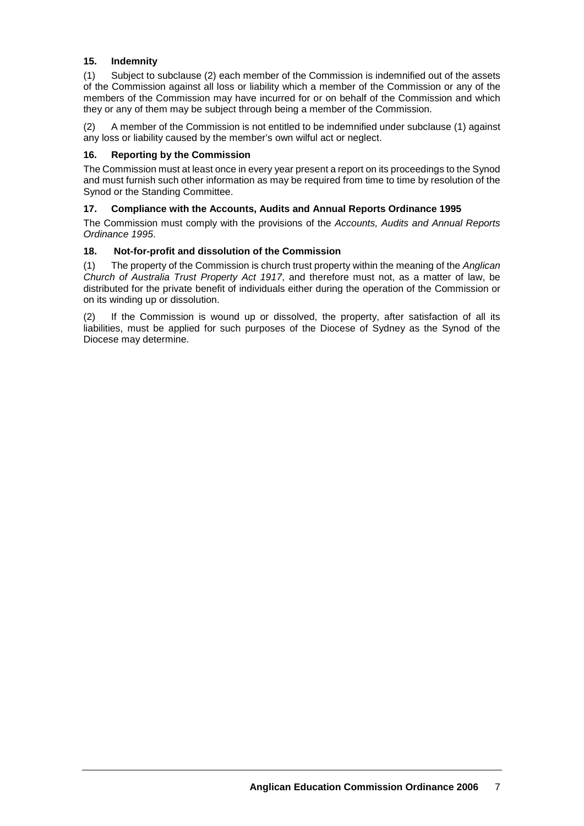# **15. Indemnity**

(1) Subject to subclause (2) each member of the Commission is indemnified out of the assets of the Commission against all loss or liability which a member of the Commission or any of the members of the Commission may have incurred for or on behalf of the Commission and which they or any of them may be subject through being a member of the Commission.

(2) A member of the Commission is not entitled to be indemnified under subclause (1) against any loss or liability caused by the member's own wilful act or neglect.

#### **16. Reporting by the Commission**

The Commission must at least once in every year present a report on its proceedings to the Synod and must furnish such other information as may be required from time to time by resolution of the Synod or the Standing Committee.

#### **17. Compliance with the Accounts, Audits and Annual Reports Ordinance 1995**

The Commission must comply with the provisions of the *Accounts, Audits and Annual Reports Ordinance 1995*.

#### **18. Not-for-profit and dissolution of the Commission**

(1) The property of the Commission is church trust property within the meaning of the *Anglican Church of Australia Trust Property Act 1917*, and therefore must not, as a matter of law, be distributed for the private benefit of individuals either during the operation of the Commission or on its winding up or dissolution.

(2) If the Commission is wound up or dissolved, the property, after satisfaction of all its liabilities, must be applied for such purposes of the Diocese of Sydney as the Synod of the Diocese may determine.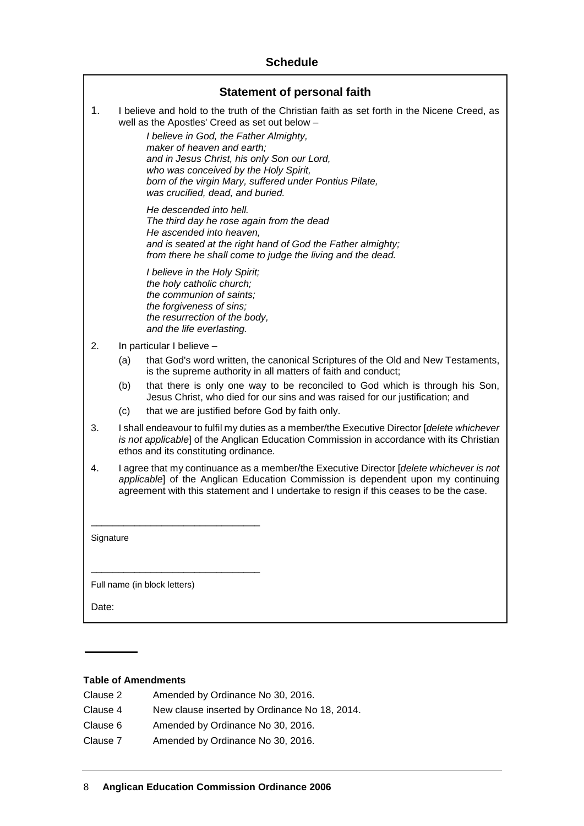# **Schedule**

| <b>Statement of personal faith</b> |                                                                                                                                                                                                                                                                       |                                                                                                                                                                                                                                                                                                                                                                                                              |  |  |
|------------------------------------|-----------------------------------------------------------------------------------------------------------------------------------------------------------------------------------------------------------------------------------------------------------------------|--------------------------------------------------------------------------------------------------------------------------------------------------------------------------------------------------------------------------------------------------------------------------------------------------------------------------------------------------------------------------------------------------------------|--|--|
| 1.                                 |                                                                                                                                                                                                                                                                       | I believe and hold to the truth of the Christian faith as set forth in the Nicene Creed, as<br>well as the Apostles' Creed as set out below -<br>I believe in God, the Father Almighty,<br>maker of heaven and earth;<br>and in Jesus Christ, his only Son our Lord,<br>who was conceived by the Holy Spirit,<br>born of the virgin Mary, suffered under Pontius Pilate,<br>was crucified, dead, and buried. |  |  |
|                                    |                                                                                                                                                                                                                                                                       | He descended into hell.<br>The third day he rose again from the dead<br>He ascended into heaven,<br>and is seated at the right hand of God the Father almighty;<br>from there he shall come to judge the living and the dead.                                                                                                                                                                                |  |  |
|                                    |                                                                                                                                                                                                                                                                       | I believe in the Holy Spirit;<br>the holy catholic church;<br>the communion of saints;<br>the forgiveness of sins;<br>the resurrection of the body,<br>and the life everlasting.                                                                                                                                                                                                                             |  |  |
| 2.                                 | In particular I believe -                                                                                                                                                                                                                                             |                                                                                                                                                                                                                                                                                                                                                                                                              |  |  |
|                                    | (a)                                                                                                                                                                                                                                                                   | that God's word written, the canonical Scriptures of the Old and New Testaments,<br>is the supreme authority in all matters of faith and conduct;                                                                                                                                                                                                                                                            |  |  |
|                                    | (b)                                                                                                                                                                                                                                                                   | that there is only one way to be reconciled to God which is through his Son,<br>Jesus Christ, who died for our sins and was raised for our justification; and                                                                                                                                                                                                                                                |  |  |
|                                    | (c)                                                                                                                                                                                                                                                                   | that we are justified before God by faith only.                                                                                                                                                                                                                                                                                                                                                              |  |  |
| 3.                                 | I shall endeavour to fulfil my duties as a member/the Executive Director [delete whichever<br>is not applicable] of the Anglican Education Commission in accordance with its Christian<br>ethos and its constituting ordinance.                                       |                                                                                                                                                                                                                                                                                                                                                                                                              |  |  |
| 4.                                 | I agree that my continuance as a member/the Executive Director [delete whichever is not<br>applicable] of the Anglican Education Commission is dependent upon my continuing<br>agreement with this statement and I undertake to resign if this ceases to be the case. |                                                                                                                                                                                                                                                                                                                                                                                                              |  |  |
| Signature                          |                                                                                                                                                                                                                                                                       |                                                                                                                                                                                                                                                                                                                                                                                                              |  |  |
| Full name (in block letters)       |                                                                                                                                                                                                                                                                       |                                                                                                                                                                                                                                                                                                                                                                                                              |  |  |
| Date:                              |                                                                                                                                                                                                                                                                       |                                                                                                                                                                                                                                                                                                                                                                                                              |  |  |

#### **Table of Amendments**

| Clause 2 | Amended by Ordinance No 30, 2016.             |
|----------|-----------------------------------------------|
| Clause 4 | New clause inserted by Ordinance No 18, 2014. |
| Clause 6 | Amended by Ordinance No 30, 2016.             |
| Clause 7 | Amended by Ordinance No 30, 2016.             |
|          |                                               |